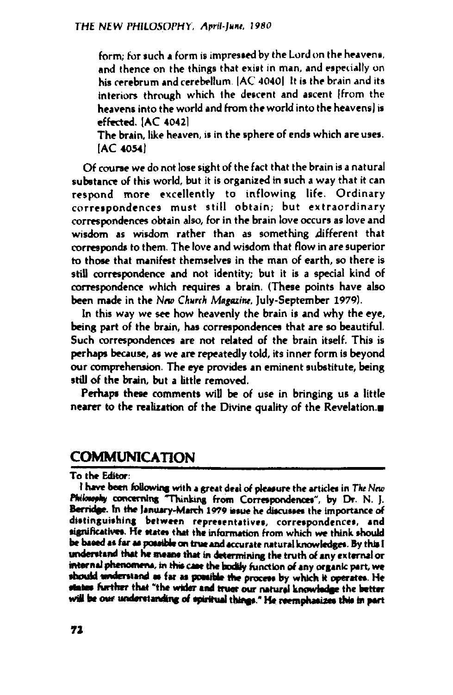**form; for such a form is impressed by the Lord on the heavens, and thence on the things that exist in man, and especially on his cerebrum and cerebellum. |AC 4040| It is the brain and its interiors through which the descent and ascent [from the heavens into the world and from the world into the heavens) is effected. [AC 4042]**

**The brain, like heaven, is in the sphere of ends which are uses. [AC 4054]**

**Of course we do not lose sight of the fact that the brain is a natural substance of this world, but it is organized in such a way that it can respond more excellently to inflowing life. Ordinary correspondences must still obtain; but extraordinary correspondences obtain also, for in the brain love occurs as love and wisdom as wisdom rather than as something different that corresponds to them. The love and wisdom that flow in are superior to those that manifest themselves in the man of earth, so there is still correspondence and not identity; but it is a special kind of correspondence which requires a brain. (These points have also been made in the New** *Church Magazine,* **July-September 1979).**

**In this way we see how heavenly the brain is and why the eye, being part of the brain, has correspondences that are so beautiful. Such correspondences are not related of the brain itself. This is perhaps because, as we are repeatedly told, its inner form is beyond our comprehension. The eye provides an eminent substitute, being still of the brain, but a little removed.**

**Perhaps these comments will be of use in bringing us a little nearer to the realization of the Divine quality of the Revelation.**

## **COMMUNICATION\_\_\_\_\_\_\_\_\_\_\_\_\_\_\_\_\_\_\_\_\_\_\_\_\_**

**To the Editor:**

**I have been following with a great deal of pleasure the articles in** *The New Philosophy* **concerning "Thinking from Correspondences", by Dr. N. J. Berridge. In the January-March 1979 issue he discusses the importance of distinguishing between representatives, correspondences, and significative\*. He states that the information from which we think should be based as far as possible an true and accurate natural knowledges. By this I understand that he means that in determining the truth of any external or internal phenomena, in this cast the faddy function of any organic part, we should understand as far as possible the process by which it operates. He states further that "the wider and truer our natural knowledge the fatter will be our understanding of spiritual things." He reemphasizes this in part**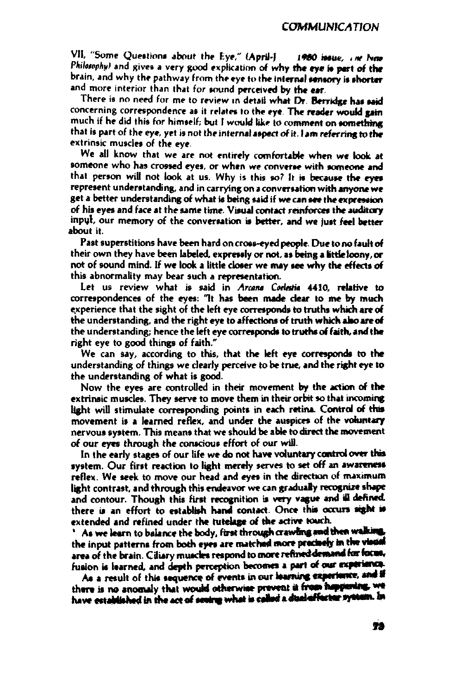VII, "Some Questions about the Eye," (April-June 1980 issue, The New *Philoiaphy)* and gives a very good explication of why the eye is part of the brain, and why the pathway from the eye to the internal sensory is shorter and more interior than that for sound perceived by the ear.

There is no need for me to review in detail what Dr. Berridge has said concerning correspondence as it relates to the eye. The reader would gain much if he did this for himself; but <sup>I</sup> would like to comment on something that is part of the eye, yet is not the internal aspect of it. <sup>I</sup> am referring to the extrinsic muscles of the eye.

**We all know that we are not entirely comfortable when we look at someone who has crossed eyes, or when we converse with someone and that person will not look at us. Why is this so? It is because the eyes represent understanding, and in carrying on <sup>a</sup> conversation with anyone we get a better understanding of what is being said if we can see the expression of his eyes and face at the same time. Visual contact reinforces the auditory input, our memory of the conversation is better, and we just feel better about it.**

**Past superstitions have been hard on cross-eyed people. Due to no fault of their own they have been labeled, expressly or not, as being a fettle loony, or not of sound mind. If we look a little closer we may see why the effects of this abnormality may bear such a representation.**

**Let us review what is said in** *Arcana Coelestia* **4410, relative to correspondences of the eyes: "It has been made clear to me by much experience that the sight of the left eye corresponds to truths which are of the understanding, and the right eye to affections of truth which also** *are***of the understanding; hence the left eye corresponds to truthsof faith, and the right eye to good things of faith."**

**We can say, according to this, that the left eye corresponds to the understanding of things we dearly perceive to be true, and the right eye to the understanding of what is good.**

**Now the eyes are controlled in their movement by the action of the extrinsic muscles. They serve to move them in their orbit so that incoming light will stimulate corresponding points in each retina. Control of this movement is a learned reflex, and under the auspices of the voluntary nervous system. This means that we should be able to direct the movement of our eyes through the conscious effort of our will.**

**In the early stages of our life we do not have voluntary control over tins system. Our first reaction to light merely serves to set off an awareness reflex. We seek to move our head and eyes in the direction of maximum light contrast, and through this endeavor we can gradually recognize shape and contour. Though this first recognition is very vague and ill defined, there is an effort to establish hand contact. Once this occurs sight is extended and refined under the tutelage of the active touch.**

**\* As we learn to balance the body, first throughcrawlingand then walking the input patterns from both eyes are matched more precisely in thevisual area of the brain. Ciliary muscles respond to more refineddemand forfocus, fusion is learned, and depth perception becomes a part of our experience**

**As a result of this sequence of events in our learning experience and if there is no anomaly that would otherwise prevent it from happening have established in the act of seeing what is called a dual efffector system. In**